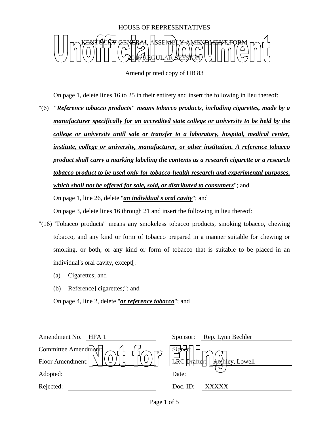

Amend printed copy of HB 83

On page 1, delete lines 16 to 25 in their entirety and insert the following in lieu thereof:

"(6) *"Reference tobacco products" means tobacco products, including cigarettes, made by a manufacturer specifically for an accredited state college or university to be held by the college or university until sale or transfer to a laboratory, hospital, medical center, institute, college or university, manufacturer, or other institution. A reference tobacco product shall carry a marking labeling the contents as a research cigarette or a research tobacco product to be used only for tobacco-health research and experimental purposes, which shall not be offered for sale, sold, or distributed to consumers*"; and On page 1, line 26, delete "*an individual's oral cavity*"; and

On page 3, delete lines 16 through 21 and insert the following in lieu thereof:

"(16) "Tobacco products" means any smokeless tobacco products, smoking tobacco, chewing tobacco, and any kind or form of tobacco prepared in a manner suitable for chewing or smoking, or both, or any kind or form of tobacco that is suitable to be placed in an individual's oral cavity, except $\vdash$ 

(a) Cigarettes; and

(b) Reference] cigarettes;"; and

On page 4, line 2, delete "*or reference tobacco*"; and

| Amendment No.<br>HFA 1 | Rep. Lynn Bechler<br>Sponsor:                                                                     |
|------------------------|---------------------------------------------------------------------------------------------------|
| Committee Amend $m$    | ्रम्हा                                                                                            |
| Floor Amendment:       | $\left  \frac{\Box}{\mathrm{LRC}} \right $ prafter:<br>$  $ $\mathbf{A}$ $\mathbf{C}$ hey, Lowell |
| Adopted:               | Date:                                                                                             |
| Rejected:              | Doc. $ID$ :<br><b>XXXXX</b>                                                                       |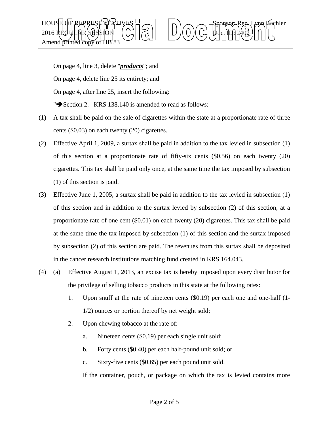

On page 4, line 3, delete "*products*"; and On page 4, delete line 25 its entirety; and On page 4, after line 25, insert the following: " $\blacktriangleright$  Section 2. KRS 138.140 is amended to read as follows:

- (1) A tax shall be paid on the sale of cigarettes within the state at a proportionate rate of three cents (\$0.03) on each twenty (20) cigarettes.
- (2) Effective April 1, 2009, a surtax shall be paid in addition to the tax levied in subsection (1) of this section at a proportionate rate of fifty-six cents (\$0.56) on each twenty (20) cigarettes. This tax shall be paid only once, at the same time the tax imposed by subsection (1) of this section is paid.
- (3) Effective June 1, 2005, a surtax shall be paid in addition to the tax levied in subsection (1) of this section and in addition to the surtax levied by subsection (2) of this section, at a proportionate rate of one cent (\$0.01) on each twenty (20) cigarettes. This tax shall be paid at the same time the tax imposed by subsection (1) of this section and the surtax imposed by subsection (2) of this section are paid. The revenues from this surtax shall be deposited in the cancer research institutions matching fund created in KRS 164.043.
- (4) (a) Effective August 1, 2013, an excise tax is hereby imposed upon every distributor for the privilege of selling tobacco products in this state at the following rates:
	- 1. Upon snuff at the rate of nineteen cents (\$0.19) per each one and one-half (1- 1/2) ounces or portion thereof by net weight sold;
	- 2. Upon chewing tobacco at the rate of:
		- a. Nineteen cents (\$0.19) per each single unit sold;
		- b. Forty cents (\$0.40) per each half-pound unit sold; or
		- c. Sixty-five cents (\$0.65) per each pound unit sold.

If the container, pouch, or package on which the tax is levied contains more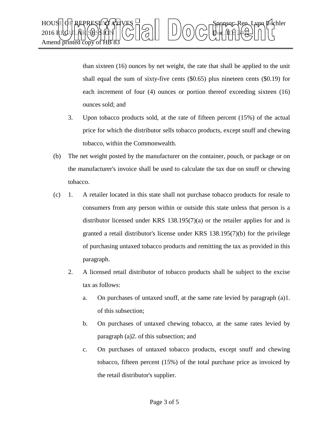

than sixteen (16) ounces by net weight, the rate that shall be applied to the unit shall equal the sum of sixty-five cents (\$0.65) plus nineteen cents (\$0.19) for each increment of four (4) ounces or portion thereof exceeding sixteen (16) ounces sold; and

- 3. Upon tobacco products sold, at the rate of fifteen percent (15%) of the actual price for which the distributor sells tobacco products, except snuff and chewing tobacco, within the Commonwealth.
- (b) The net weight posted by the manufacturer on the container, pouch, or package or on the manufacturer's invoice shall be used to calculate the tax due on snuff or chewing tobacco.
- (c) 1. A retailer located in this state shall not purchase tobacco products for resale to consumers from any person within or outside this state unless that person is a distributor licensed under KRS 138.195(7)(a) or the retailer applies for and is granted a retail distributor's license under KRS 138.195(7)(b) for the privilege of purchasing untaxed tobacco products and remitting the tax as provided in this paragraph.
	- 2. A licensed retail distributor of tobacco products shall be subject to the excise tax as follows:
		- a. On purchases of untaxed snuff, at the same rate levied by paragraph (a)1. of this subsection;
		- b. On purchases of untaxed chewing tobacco, at the same rates levied by paragraph (a)2. of this subsection; and
		- c. On purchases of untaxed tobacco products, except snuff and chewing tobacco, fifteen percent (15%) of the total purchase price as invoiced by the retail distributor's supplier.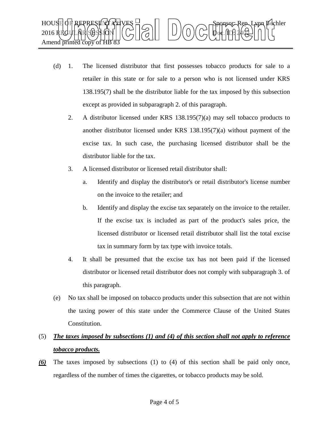

- (d) 1. The licensed distributor that first possesses tobacco products for sale to a retailer in this state or for sale to a person who is not licensed under KRS 138.195(7) shall be the distributor liable for the tax imposed by this subsection except as provided in subparagraph 2. of this paragraph.
	- 2. A distributor licensed under KRS 138.195(7)(a) may sell tobacco products to another distributor licensed under KRS 138.195(7)(a) without payment of the excise tax. In such case, the purchasing licensed distributor shall be the distributor liable for the tax.
	- 3. A licensed distributor or licensed retail distributor shall:
		- a. Identify and display the distributor's or retail distributor's license number on the invoice to the retailer; and
		- b. Identify and display the excise tax separately on the invoice to the retailer. If the excise tax is included as part of the product's sales price, the licensed distributor or licensed retail distributor shall list the total excise tax in summary form by tax type with invoice totals.
	- 4. It shall be presumed that the excise tax has not been paid if the licensed distributor or licensed retail distributor does not comply with subparagraph 3. of this paragraph.
- (e) No tax shall be imposed on tobacco products under this subsection that are not within the taxing power of this state under the Commerce Clause of the United States Constitution.

## (5) *The taxes imposed by subsections (1) and (4) of this section shall not apply to reference tobacco products.*

*(6)* The taxes imposed by subsections (1) to (4) of this section shall be paid only once, regardless of the number of times the cigarettes, or tobacco products may be sold.